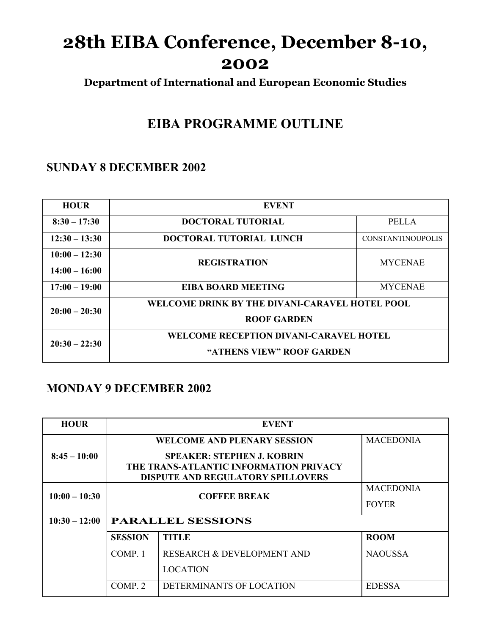# **28th EIBA Conference, December 8-10, 2002**

**Department of International and European Economic Studies**

## **EIBA PROGRAMME OUTLINE**

#### **SUNDAY 8 DECEMBER 2002**

| <b>HOUR</b>     | <b>EVENT</b>                                                               |                          |
|-----------------|----------------------------------------------------------------------------|--------------------------|
| $8:30 - 17:30$  | <b>DOCTORAL TUTORIAL</b>                                                   | <b>PELLA</b>             |
| $12:30 - 13:30$ | DOCTORAL TUTORIAL LUNCH                                                    | <b>CONSTANTINOUPOLIS</b> |
| $10:00 - 12:30$ | <b>REGISTRATION</b>                                                        | <b>MYCENAE</b>           |
| $14:00 - 16:00$ |                                                                            |                          |
| $17:00 - 19:00$ | <b>EIBA BOARD MEETING</b>                                                  | <b>MYCENAE</b>           |
| $20:00 - 20:30$ | WELCOME DRINK BY THE DIVANI-CARAVEL HOTEL POOL<br><b>ROOF GARDEN</b>       |                          |
| $20:30 - 22:30$ | <b>WELCOME RECEPTION DIVANI-CARAVEL HOTEL</b><br>"ATHENS VIEW" ROOF GARDEN |                          |

#### **MONDAY 9 DECEMBER 2002**

| <b>HOUR</b>     | <b>EVENT</b>                                                                       |                                       |                  |  |
|-----------------|------------------------------------------------------------------------------------|---------------------------------------|------------------|--|
|                 |                                                                                    | <b>WELCOME AND PLENARY SESSION</b>    | <b>MACEDONIA</b> |  |
| $8:45 - 10:00$  |                                                                                    |                                       |                  |  |
|                 | THE TRANS-ATLANTIC INFORMATION PRIVACY<br><b>DISPUTE AND REGULATORY SPILLOVERS</b> |                                       |                  |  |
|                 |                                                                                    |                                       | <b>MACEDONIA</b> |  |
| $10:00 - 10:30$ |                                                                                    | <b>COFFEE BREAK</b>                   | <b>FOYER</b>     |  |
| $10:30 - 12:00$ | <b>PARALLEL SESSIONS</b>                                                           |                                       |                  |  |
|                 | <b>SESSION</b>                                                                     | <b>TITLE</b>                          | <b>ROOM</b>      |  |
|                 | COMP. 1                                                                            | <b>RESEARCH &amp; DEVELOPMENT AND</b> | <b>NAOUSSA</b>   |  |
|                 |                                                                                    | <b>LOCATION</b>                       |                  |  |
|                 | COMP <sub>2</sub>                                                                  | DETERMINANTS OF LOCATION              | <b>EDESSA</b>    |  |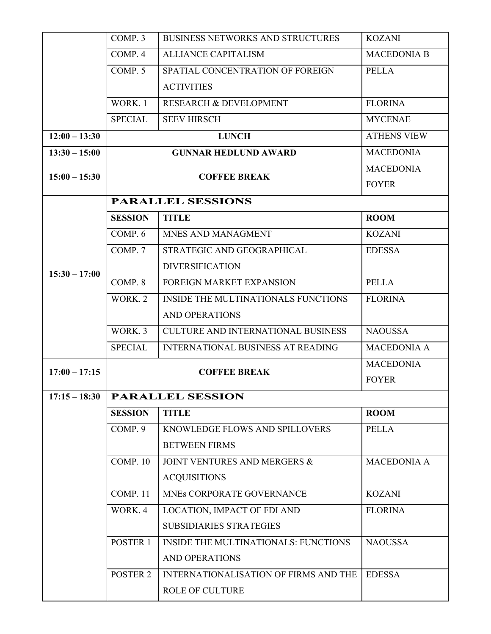|                 | COMP. 3                     | <b>BUSINESS NETWORKS AND STRUCTURES</b>   | <b>KOZANI</b>                    |
|-----------------|-----------------------------|-------------------------------------------|----------------------------------|
|                 | COMP. 4                     | <b>ALLIANCE CAPITALISM</b>                | <b>MACEDONIA B</b>               |
|                 | COMP. 5                     | SPATIAL CONCENTRATION OF FOREIGN          | <b>PELLA</b>                     |
|                 |                             | <b>ACTIVITIES</b>                         |                                  |
|                 | WORK. 1                     | <b>RESEARCH &amp; DEVELOPMENT</b>         | <b>FLORINA</b>                   |
|                 | <b>SPECIAL</b>              | <b>SEEV HIRSCH</b>                        | <b>MYCENAE</b>                   |
| $12:00 - 13:30$ |                             | <b>LUNCH</b>                              |                                  |
| $13:30 - 15:00$ | <b>GUNNAR HEDLUND AWARD</b> |                                           | <b>MACEDONIA</b>                 |
| $15:00 - 15:30$ | <b>COFFEE BREAK</b>         |                                           | <b>MACEDONIA</b><br><b>FOYER</b> |
|                 | <b>PARALLEL SESSIONS</b>    |                                           |                                  |
|                 | <b>SESSION</b>              | <b>TITLE</b>                              | <b>ROOM</b>                      |
|                 | COMP <sub>.6</sub>          | MNES AND MANAGMENT                        | <b>KOZANI</b>                    |
|                 | COMP. 7                     | STRATEGIC AND GEOGRAPHICAL                | <b>EDESSA</b>                    |
|                 |                             | <b>DIVERSIFICATION</b>                    |                                  |
| $15:30 - 17:00$ | COMP. 8                     | <b>FOREIGN MARKET EXPANSION</b>           | <b>PELLA</b>                     |
|                 | WORK. 2                     | INSIDE THE MULTINATIONALS FUNCTIONS       | <b>FLORINA</b>                   |
|                 |                             | <b>AND OPERATIONS</b>                     |                                  |
|                 | WORK <sub>.</sub> 3         | <b>CULTURE AND INTERNATIONAL BUSINESS</b> | <b>NAOUSSA</b>                   |
|                 | <b>SPECIAL</b>              | <b>INTERNATIONAL BUSINESS AT READING</b>  | <b>MACEDONIA A</b>               |
| $17:00 - 17:15$ | <b>COFFEE BREAK</b>         |                                           | <b>MACEDONIA</b>                 |
|                 |                             |                                           | <b>FOYER</b>                     |
| $17:15 - 18:30$ | <b>PARALLEL SESSION</b>     |                                           |                                  |
|                 | <b>SESSION</b>              | <b>TITLE</b>                              | <b>ROOM</b>                      |
|                 | COMP. 9                     | KNOWLEDGE FLOWS AND SPILLOVERS            | <b>PELLA</b>                     |
|                 |                             | <b>BETWEEN FIRMS</b>                      |                                  |
|                 | COMP. 10                    | JOINT VENTURES AND MERGERS &              | <b>MACEDONIA A</b>               |
|                 |                             | <b>ACQUISITIONS</b>                       |                                  |
|                 | COMP. 11                    | MNES CORPORATE GOVERNANCE                 | <b>KOZANI</b>                    |
|                 | WORK. 4                     | LOCATION, IMPACT OF FDI AND               | <b>FLORINA</b>                   |
|                 |                             | <b>SUBSIDIARIES STRATEGIES</b>            |                                  |
|                 | POSTER 1                    | INSIDE THE MULTINATIONALS: FUNCTIONS      | <b>NAOUSSA</b>                   |
|                 |                             | <b>AND OPERATIONS</b>                     |                                  |
|                 | <b>POSTER 2</b>             | INTERNATIONALISATION OF FIRMS AND THE     | <b>EDESSA</b>                    |
|                 |                             | <b>ROLE OF CULTURE</b>                    |                                  |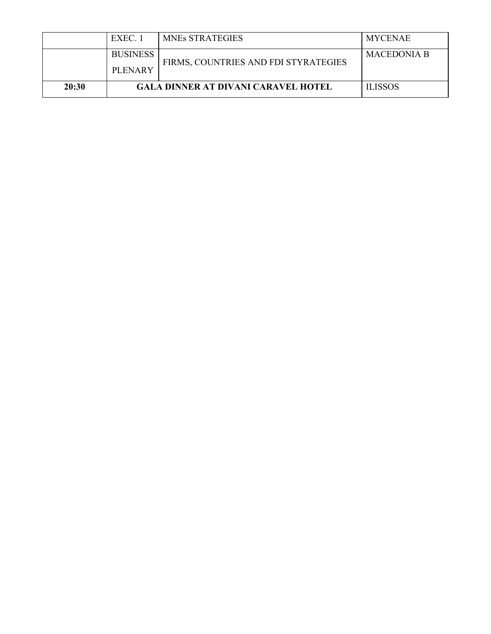|       | EXEC 1                                     | <b>MNES STRATEGIES</b>               | MYCENAE            |
|-------|--------------------------------------------|--------------------------------------|--------------------|
|       | <b>BUSINESS</b><br><b>PLENARY</b>          | FIRMS, COUNTRIES AND FDI STYRATEGIES | <b>MACEDONIA B</b> |
| 20:30 | <b>GALA DINNER AT DIVANI CARAVEL HOTEL</b> |                                      | <b>ILISSOS</b>     |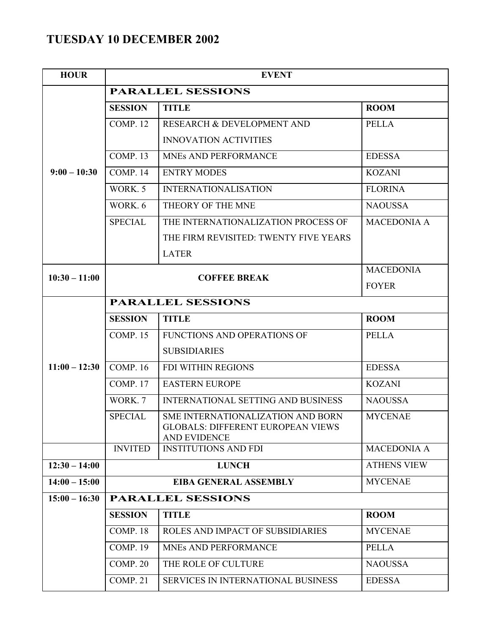### **TUESDAY 10 DECEMBER 2002**

| <b>HOUR</b>     | <b>EVENT</b>             |                                                                 |                    |  |
|-----------------|--------------------------|-----------------------------------------------------------------|--------------------|--|
|                 | <b>PARALLEL SESSIONS</b> |                                                                 |                    |  |
|                 | <b>SESSION</b>           | <b>TITLE</b>                                                    | <b>ROOM</b>        |  |
|                 | COMP. 12                 | RESEARCH & DEVELOPMENT AND                                      | <b>PELLA</b>       |  |
|                 |                          | <b>INNOVATION ACTIVITIES</b>                                    |                    |  |
|                 | COMP. 13                 | MNEs AND PERFORMANCE                                            | <b>EDESSA</b>      |  |
| $9:00 - 10:30$  | COMP. 14                 | <b>ENTRY MODES</b>                                              | <b>KOZANI</b>      |  |
|                 | WORK. 5                  | <b>INTERNATIONALISATION</b>                                     | <b>FLORINA</b>     |  |
|                 | WORK. 6                  | THEORY OF THE MNE                                               | <b>NAOUSSA</b>     |  |
|                 | <b>SPECIAL</b>           | THE INTERNATIONALIZATION PROCESS OF                             | <b>MACEDONIA A</b> |  |
|                 |                          | THE FIRM REVISITED: TWENTY FIVE YEARS                           |                    |  |
|                 |                          | <b>LATER</b>                                                    |                    |  |
| $10:30 - 11:00$ |                          | <b>COFFEE BREAK</b>                                             | <b>MACEDONIA</b>   |  |
|                 |                          |                                                                 | <b>FOYER</b>       |  |
|                 | <b>PARALLEL SESSIONS</b> |                                                                 |                    |  |
|                 | <b>SESSION</b>           | <b>TITLE</b>                                                    | <b>ROOM</b>        |  |
|                 | <b>COMP. 15</b>          | FUNCTIONS AND OPERATIONS OF                                     | <b>PELLA</b>       |  |
|                 |                          | <b>SUBSIDIARIES</b>                                             |                    |  |
| $11:00 - 12:30$ | <b>COMP. 16</b>          | FDI WITHIN REGIONS                                              | <b>EDESSA</b>      |  |
|                 | COMP. 17                 | <b>EASTERN EUROPE</b>                                           | <b>KOZANI</b>      |  |
|                 | WORK. 7                  | <b>INTERNATIONAL SETTING AND BUSINESS</b>                       | <b>NAOUSSA</b>     |  |
|                 | <b>SPECIAL</b>           | SME INTERNATIONALIZATION AND BORN                               | <b>MYCENAE</b>     |  |
|                 |                          | <b>GLOBALS: DIFFERENT EUROPEAN VIEWS</b><br><b>AND EVIDENCE</b> |                    |  |
|                 | <b>INVITED</b>           | <b>INSTITUTIONS AND FDI</b>                                     | <b>MACEDONIA A</b> |  |
| $12:30 - 14:00$ |                          | <b>LUNCH</b>                                                    | <b>ATHENS VIEW</b> |  |
| $14:00 - 15:00$ |                          | <b>EIBA GENERAL ASSEMBLY</b>                                    |                    |  |
| $15:00 - 16:30$ | <b>PARALLEL SESSIONS</b> |                                                                 |                    |  |
|                 | <b>SESSION</b>           | <b>TITLE</b>                                                    | <b>ROOM</b>        |  |
|                 | COMP. 18                 | ROLES AND IMPACT OF SUBSIDIARIES                                | <b>MYCENAE</b>     |  |
|                 | COMP. 19                 | MNES AND PERFORMANCE                                            | <b>PELLA</b>       |  |
|                 | COMP. 20                 | THE ROLE OF CULTURE                                             | <b>NAOUSSA</b>     |  |
|                 | COMP. 21                 | <b>SERVICES IN INTERNATIONAL BUSINESS</b>                       | <b>EDESSA</b>      |  |